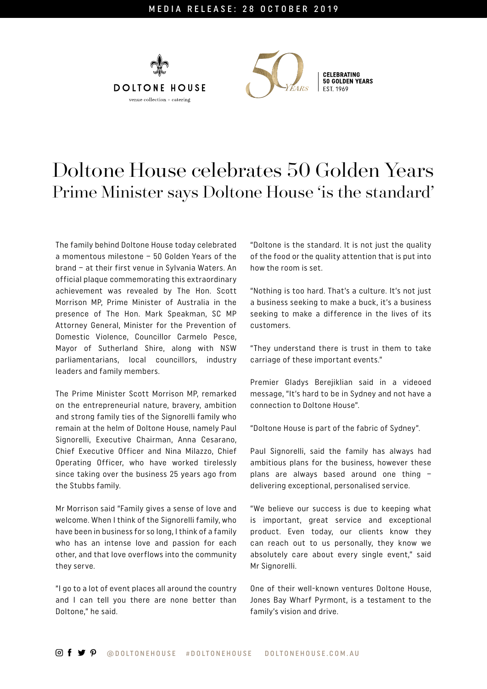



## Doltone House celebrates 50 Golden Years Prime Minister says Doltone House 'is the standard'

The family behind Doltone House today celebrated a momentous milestone – 50 Golden Years of the brand – at their first venue in Sylvania Waters. An official plaque commemorating this extraordinary achievement was revealed by The Hon. Scott Morrison MP, Prime Minister of Australia in the presence of The Hon. Mark Speakman, SC MP Attorney General, Minister for the Prevention of Domestic Violence, Councillor Carmelo Pesce, Mayor of Sutherland Shire, along with NSW parliamentarians, local councillors, industry leaders and family members.

The Prime Minister Scott Morrison MP, remarked on the entrepreneurial nature, bravery, ambition and strong family ties of the Signorelli family who remain at the helm of Doltone House, namely Paul Signorelli, Executive Chairman, Anna Cesarano, Chief Executive Officer and Nina Milazzo, Chief Operating Officer, who have worked tirelessly since taking over the business 25 years ago from the Stubbs family.

Mr Morrison said "Family gives a sense of love and welcome. When I think of the Signorelli family, who have been in business for so long, I think of a family who has an intense love and passion for each other, and that love overflows into the community they serve.

"I go to a lot of event places all around the country and I can tell you there are none better than Doltone," he said.

"Doltone is the standard. It is not just the quality of the food or the quality attention that is put into how the room is set.

"Nothing is too hard. That's a culture. It's not just a business seeking to make a buck, it's a business seeking to make a difference in the lives of its customers.

"They understand there is trust in them to take carriage of these important events."

Premier Gladys Berejiklian said in a videoed message, "It's hard to be in Sydney and not have a connection to Doltone House".

"Doltone House is part of the fabric of Sydney".

Paul Signorelli, said the family has always had ambitious plans for the business, however these plans are always based around one thing – delivering exceptional, personalised service.

"We believe our success is due to keeping what is important, great service and exceptional product. Even today, our clients know they can reach out to us personally, they know we absolutely care about every single event," said Mr Signorelli.

One of their well-known ventures Doltone House, Jones Bay Wharf Pyrmont, is a testament to the family's vision and drive.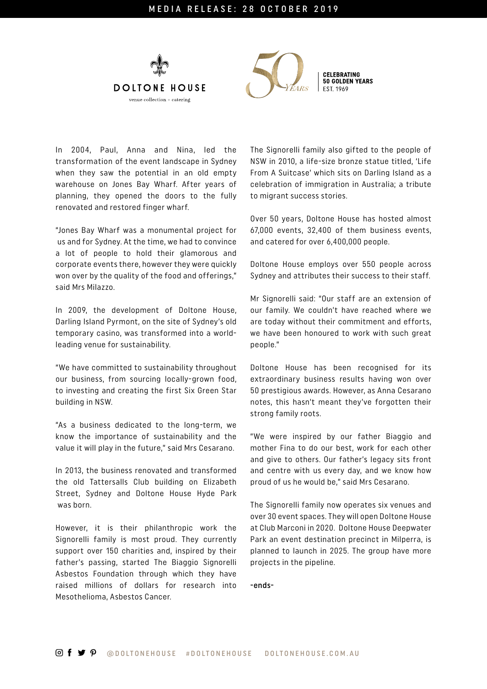



In 2004, Paul, Anna and Nina, led the transformation of the event landscape in Sydney when they saw the potential in an old empty warehouse on Jones Bay Wharf. After years of planning, they opened the doors to the fully renovated and restored finger wharf.

"Jones Bay Wharf was a monumental project for us and for Sydney. At the time, we had to convince a lot of people to hold their glamorous and corporate events there, however they were quickly won over by the quality of the food and offerings," said Mrs Milazzo.

In 2009, the development of Doltone House, Darling Island Pyrmont, on the site of Sydney's old temporary casino, was transformed into a worldleading venue for sustainability.

"We have committed to sustainability throughout our business, from sourcing locally-grown food, to investing and creating the first Six Green Star building in NSW.

"As a business dedicated to the long-term, we know the importance of sustainability and the value it will play in the future," said Mrs Cesarano.

In 2013, the business renovated and transformed the old Tattersalls Club building on Elizabeth Street, Sydney and Doltone House Hyde Park was born.

However, it is their philanthropic work the Signorelli family is most proud. They currently support over 150 charities and, inspired by their father's passing, started The Biaggio Signorelli Asbestos Foundation through which they have raised millions of dollars for research into Mesothelioma, Asbestos Cancer.

The Signorelli family also gifted to the people of NSW in 2010, a life-size bronze statue titled, 'Life From A Suitcase' which sits on Darling Island as a celebration of immigration in Australia; a tribute to migrant success stories.

Over 50 years, Doltone House has hosted almost 67,000 events, 32,400 of them business events, and catered for over 6,400,000 people.

Doltone House employs over 550 people across Sydney and attributes their success to their staff.

Mr Signorelli said: "Our staff are an extension of our family. We couldn't have reached where we are today without their commitment and efforts, we have been honoured to work with such great people."

Doltone House has been recognised for its extraordinary business results having won over 50 prestigious awards. However, as Anna Cesarano notes, this hasn't meant they've forgotten their strong family roots.

"We were inspired by our father Biaggio and mother Fina to do our best, work for each other and give to others. Our father's legacy sits front and centre with us every day, and we know how proud of us he would be," said Mrs Cesarano.

The Signorelli family now operates six venues and over 30 event spaces. They will open Doltone House at Club Marconi in 2020. Doltone House Deepwater Park an event destination precinct in Milperra, is planned to launch in 2025. The group have more projects in the pipeline.

-ends-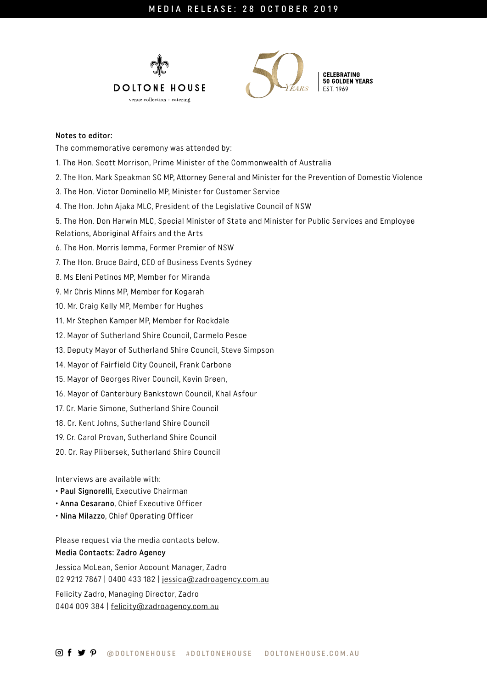



50 GOLDEN YEARS

## Notes to editor:

The commemorative ceremony was attended by:

- 1. The Hon. Scott Morrison, Prime Minister of the Commonwealth of Australia
- 2. The Hon. Mark Speakman SC MP, Attorney General and Minister for the Prevention of Domestic Violence
- 3. The Hon. Victor Dominello MP, Minister for Customer Service
- 4. The Hon. John Ajaka MLC, President of the Legislative Council of NSW

5. The Hon. Don Harwin MLC, Special Minister of State and Minister for Public Services and Employee Relations, Aboriginal Affairs and the Arts

- 6. The Hon. Morris Iemma, Former Premier of NSW
- 7. The Hon. Bruce Baird, CEO of Business Events Sydney
- 8. Ms Eleni Petinos MP, Member for Miranda
- 9. Mr Chris Minns MP, Member for Kogarah
- 10. Mr. Craig Kelly MP, Member for Hughes
- 11. Mr Stephen Kamper MP, Member for Rockdale
- 12. Mayor of Sutherland Shire Council, Carmelo Pesce
- 13. Deputy Mayor of Sutherland Shire Council, Steve Simpson
- 14. Mayor of Fairfield City Council, Frank Carbone
- 15. Mayor of Georges River Council, Kevin Green,
- 16. Mayor of Canterbury Bankstown Council, Khal Asfour
- 17. Cr. Marie Simone, Sutherland Shire Council
- 18. Cr. Kent Johns, Sutherland Shire Council
- 19. Cr. Carol Provan, Sutherland Shire Council
- 20. Cr. Ray Plibersek, Sutherland Shire Council

Interviews are available with:

- Paul Signorelli, Executive Chairman
- Anna Cesarano, Chief Executive Officer
- Nina Milazzo, Chief Operating Officer

Please request via the media contacts below. Media Contacts: Zadro Agency

Jessica McLean, Senior Account Manager, Zadro 02 9212 7867 | 0400 433 182 | [jessica@zadroagency.com.au](mailto:jessica%40zadroagency.com.au%20?subject=) Felicity Zadro, Managing Director, Zadro 0404 009 384 | [felicity@zadroagency.com.au](mailto:felicity%40zadroagency.com.au%20?subject=)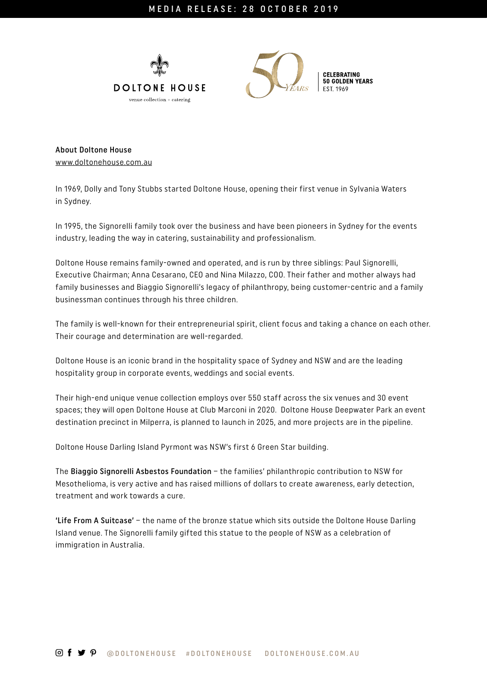



**CELEBRATING** 50 GOLDEN YEARS

About Doltone House [www.doltonehouse.com.au](http://www.doltonehouse.com.au  )

In 1969, Dolly and Tony Stubbs started Doltone House, opening their first venue in Sylvania Waters in Sydney.

In 1995, the Signorelli family took over the business and have been pioneers in Sydney for the events industry, leading the way in catering, sustainability and professionalism.

Doltone House remains family-owned and operated, and is run by three siblings: Paul Signorelli, Executive Chairman; Anna Cesarano, CEO and Nina Milazzo, COO. Their father and mother always had family businesses and Biaggio Signorelli's legacy of philanthropy, being customer-centric and a family businessman continues through his three children.

The family is well-known for their entrepreneurial spirit, client focus and taking a chance on each other. Their courage and determination are well-regarded.

Doltone House is an iconic brand in the hospitality space of Sydney and NSW and are the leading hospitality group in corporate events, weddings and social events.

Their high-end unique venue collection employs over 550 staff across the six venues and 30 event spaces; they will open Doltone House at Club Marconi in 2020. Doltone House Deepwater Park an event destination precinct in Milperra, is planned to launch in 2025, and more projects are in the pipeline.

Doltone House Darling Island Pyrmont was NSW's first 6 Green Star building.

The Biaggio Signorelli Asbestos Foundation – the families' philanthropic contribution to NSW for Mesothelioma, is very active and has raised millions of dollars to create awareness, early detection, treatment and work towards a cure.

'Life From A Suitcase' – the name of the bronze statue which sits outside the Doltone House Darling Island venue. The Signorelli family gifted this statue to the people of NSW as a celebration of immigration in Australia.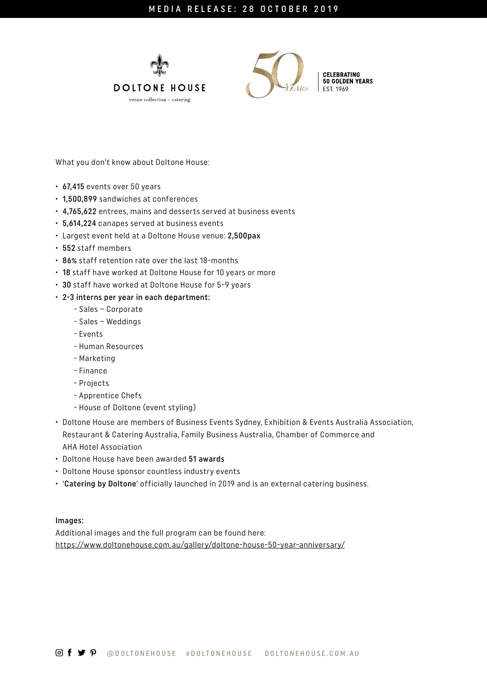



**CELEBRATING<br>50 GOLDEN YEARS** 

What you don't know about Doltone House:

- 67,415 events over 50 years
- 1,500,899 sandwiches at conferences
- 4,765,622 entrees, mains and desserts served at business events
- 5,614,224 canapes served at business events
- Largest event held at a Doltone House venue: 2,500pax
- 552 staff members
- 86% staff retention rate over the last 18-months
- 18 staff have worked at Doltone House for 10 years or more
- 30 staff have worked at Doltone House for 5-9 years
- 2-3 interns per year in each department:
	- Sales Corporate
	- Sales Weddings
	- Events
	- Human Resources
	- Marketing
	- Finance
	- Projects
	- Apprentice Chefs
	- House of Doltone (event styling)
- Doltone House are members of Business Events Sydney, Exhibition & Events Australia Association, Restaurant & Catering Australia, Family Business Australia, Chamber of Commerce and AHA Hotel Association
- Doltone House have been awarded 51 awards
- Doltone House sponsor countless industry events
- 'Catering by Doltone' officially launched in 2019 and is an external catering business.

Images:

Additional images and the full program can be found here: <https://www.doltonehouse.com.au/gallery/doltone-house-50-year-anniversary/>